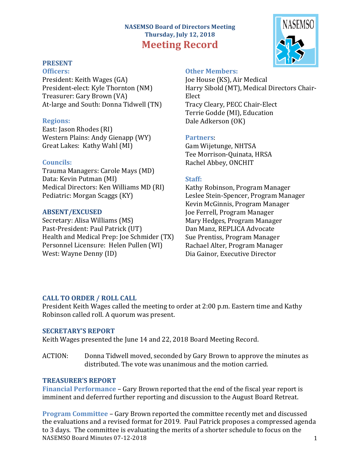# **NASEMSO Board of Directors Meeting Thursday, July 12, 2018 Meeting Record**

#### **PRESENT Officers:**

President: Keith Wages (GA) President-elect: Kyle Thornton (NM) Treasurer: Gary Brown (VA) At-large and South: Donna Tidwell (TN)

## **Regions:**

East: Jason Rhodes (RI) Western Plains: Andy Gienapp (WY) Great Lakes: Kathy Wahl (MI)

## **Councils:**

Trauma Managers: Carole Mays (MD) Data: Kevin Putman (MI) Medical Directors: Ken Williams MD (RI) Pediatric: Morgan Scaggs (KY)

## **ABSENT/EXCUSED**

Secretary: Alisa Williams (MS) Past-President: Paul Patrick (UT) Health and Medical Prep: Joe Schmider (TX) Personnel Licensure: Helen Pullen (WI) West: Wayne Denny (ID)

## **Other Members:**

Joe House (KS), Air Medical Harry Sibold (MT), Medical Directors Chair-Elect Tracy Cleary, PECC Chair-Elect Terrie Godde (MI), Education Dale Adkerson (OK)

## **Partners**:

Gam Wijetunge, NHTSA Tee Morrison-Quinata, HRSA Rachel Abbey, ONCHIT

## **Staff:**

Kathy Robinson, Program Manager Leslee Stein-Spencer, Program Manager Kevin McGinnis, Program Manager Joe Ferrell, Program Manager Mary Hedges, Program Manager Dan Manz, REPLICA Advocate Sue Prentiss, Program Manager Rachael Alter, Program Manager Dia Gainor, Executive Director

# **CALL TO ORDER / ROLL CALL**

President Keith Wages called the meeting to order at 2:00 p.m. Eastern time and Kathy Robinson called roll. A quorum was present.

## **SECRETARY'S REPORT**

Keith Wages presented the June 14 and 22, 2018 Board Meeting Record.

ACTION: Donna Tidwell moved, seconded by Gary Brown to approve the minutes as distributed. The vote was unanimous and the motion carried.

## **TREASURER'S REPORT**

**Financial Performance** – Gary Brown reported that the end of the fiscal year report is imminent and deferred further reporting and discussion to the August Board Retreat.

NASEMSO Board Minutes 07-12-2018 1 **Program Committee** – Gary Brown reported the committee recently met and discussed the evaluations and a revised format for 2019. Paul Patrick proposes a compressed agenda to 3 days. The committee is evaluating the merits of a shorter schedule to focus on the

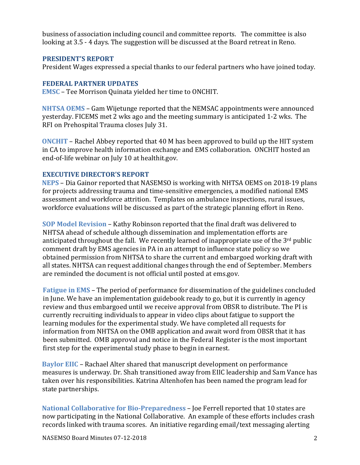business of association including council and committee reports. The committee is also looking at 3.5 - 4 days. The suggestion will be discussed at the Board retreat in Reno.

#### **PRESIDENT'S REPORT**

President Wages expressed a special thanks to our federal partners who have joined today.

#### **FEDERAL PARTNER UPDATES**

**EMSC** – Tee Morrison Quinata yielded her time to ONCHIT.

**NHTSA OEMS** – Gam Wijetunge reported that the NEMSAC appointments were announced yesterday. FICEMS met 2 wks ago and the meeting summary is anticipated 1-2 wks. The RFI on Prehospital Trauma closes July 31.

**ONCHIT** – Rachel Abbey reported that 40 M has been approved to build up the HIT system in CA to improve health information exchange and EMS collaboration. ONCHIT hosted an end-of-life webinar on July 10 at healthit.gov.

#### **EXECUTIVE DIRECTOR'S REPORT**

**NEPS** – Dia Gainor reported that NASEMSO is working with NHTSA OEMS on 2018-19 plans for projects addressing trauma and time-sensitive emergencies, a modified national EMS assessment and workforce attrition. Templates on ambulance inspections, rural issues, workforce evaluations will be discussed as part of the strategic planning effort in Reno.

**SOP Model Revision** – Kathy Robinson reported that the final draft was delivered to NHTSA ahead of schedule although dissemination and implementation efforts are anticipated throughout the fall. We recently learned of inappropriate use of the  $3^{rd}$  public comment draft by EMS agencies in PA in an attempt to influence state policy so we obtained permission from NHTSA to share the current and embargoed working draft with all states. NHTSA can request additional changes through the end of September. Members are reminded the document is not official until posted at ems.gov.

**Fatigue in EMS** – The period of performance for dissemination of the guidelines concluded in June. We have an implementation guidebook ready to go, but it is currently in agency review and thus embargoed until we receive approval from OBSR to distribute. The PI is currently recruiting individuals to appear in video clips about fatigue to support the learning modules for the experimental study. We have completed all requests for information from NHTSA on the OMB application and await word from OBSR that it has been submitted. OMB approval and notice in the Federal Register is the most important first step for the experimental study phase to begin in earnest.

**Baylor EIIC** – Rachael Alter shared that manuscript development on performance measures is underway. Dr. Shah transitioned away from EIIC leadership and Sam Vance has taken over his responsibilities. Katrina Altenhofen has been named the program lead for state partnerships.

**National Collaborative for Bio-Preparedness - Joe Ferrell reported that 10 states are** now participating in the National Collaborative. An example of these efforts includes crash records linked with trauma scores. An initiative regarding email/text messaging alerting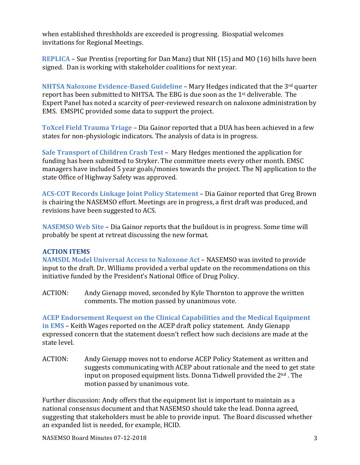when established threshholds are exceeded is progressing. Biospatial welcomes invitations for Regional Meetings.

**REPLICA** – Sue Prentiss (reporting for Dan Manz) that NH (15) and MO (16) bills have been signed. Dan is working with stakeholder coalitions for next year.

**NHTSA Naloxone Evidence-Based Guideline** – Mary Hedges indicated that the 3<sup>rd</sup> quarter report has been submitted to NHTSA. The EBG is due soon as the  $1<sup>st</sup>$  deliverable. The Expert Panel has noted a scarcity of peer-reviewed research on naloxone administration by EMS. EMSPIC provided some data to support the project.

**ToXcel Field Trauma Triage – Dia Gainor reported that a DUA has been achieved in a few** states for non-physiologic indicators. The analysis of data is in progress.

**Safe Transport of Children Crash Test – Mary Hedges mentioned the application for** funding has been submitted to Stryker. The committee meets every other month. EMSC managers have included 5 year goals/monies towards the project. The NJ application to the state Office of Highway Safety was approved.

ACS-COT Records Linkage Joint Policy Statement – Dia Gainor reported that Greg Brown is chairing the NASEMSO effort. Meetings are in progress, a first draft was produced, and revisions have been suggested to ACS.

**NASEMSO Web Site** – Dia Gainor reports that the buildout is in progress. Some time will probably be spent at retreat discussing the new format.

# **ACTION ITEMS**

**NAMSDL Model Universal Access to Naloxone Act – NASEMSO was invited to provide** input to the draft. Dr. Williams provided a verbal update on the recommendations on this initiative funded by the President's National Office of Drug Policy.

ACTION: Andy Gienapp moved, seconded by Kyle Thornton to approve the written comments. The motion passed by unanimous vote.

**ACEP Endorsement Request on the Clinical Capabilities and the Medical Equipment in EMS** – Keith Wages reported on the ACEP draft policy statement. Andy Gienapp expressed concern that the statement doesn't reflect how such decisions are made at the state level.

ACTION: Andy Gienapp moves not to endorse ACEP Policy Statement as written and suggests communicating with ACEP about rationale and the need to get state input on proposed equipment lists. Donna Tidwell provided the  $2<sup>nd</sup>$ . The motion passed by unanimous vote.

Further discussion: Andy offers that the equipment list is important to maintain as a national consensus document and that NASEMSO should take the lead. Donna agreed, suggesting that stakeholders must be able to provide input. The Board discussed whether an expanded list is needed, for example, HCID.

NASEMSO Board Minutes 07-12-2018 3